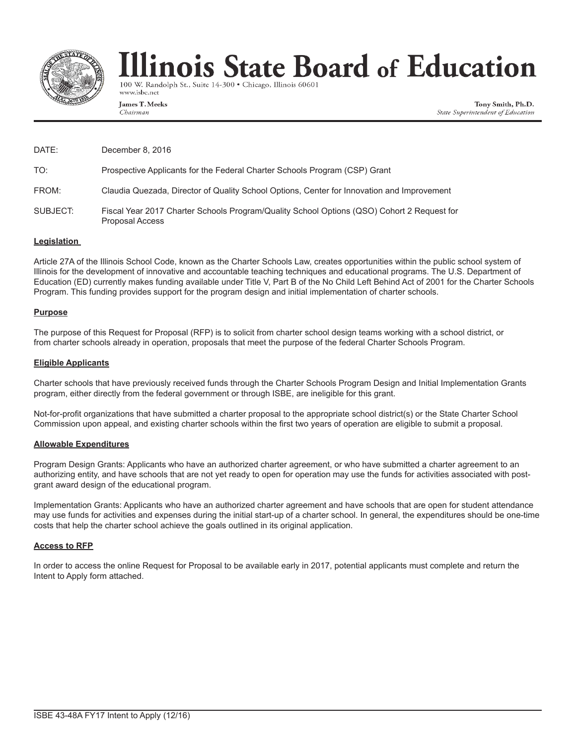

# llinois State Board of Education

100 W. Randolph St., Suite 14-300 · Chicago, Illinois 60601 www.isbe.net

James T. Meeks Chairman

Tony Smith, Ph.D. State Superintendent of Education

| DATE:    | December 8, 2016                                                                                                     |
|----------|----------------------------------------------------------------------------------------------------------------------|
| TO:      | Prospective Applicants for the Federal Charter Schools Program (CSP) Grant                                           |
| FROM:    | Claudia Quezada, Director of Quality School Options, Center for Innovation and Improvement                           |
| SUBJECT: | Fiscal Year 2017 Charter Schools Program/Quality School Options (QSO) Cohort 2 Request for<br><b>Proposal Access</b> |

#### **Legislation**

Article 27A of the Illinois School Code, known as the Charter Schools Law, creates opportunities within the public school system of Illinois for the development of innovative and accountable teaching techniques and educational programs. The U.S. Department of Education (ED) currently makes funding available under Title V, Part B of the No Child Left Behind Act of 2001 for the Charter Schools Program. This funding provides support for the program design and initial implementation of charter schools.

#### **Purpose**

The purpose of this Request for Proposal (RFP) is to solicit from charter school design teams working with a school district, or from charter schools already in operation, proposals that meet the purpose of the federal Charter Schools Program.

#### **Eligible Applicants**

Charter schools that have previously received funds through the Charter Schools Program Design and Initial Implementation Grants program, either directly from the federal government or through ISBE, are ineligible for this grant.

Not-for-profit organizations that have submitted a charter proposal to the appropriate school district(s) or the State Charter School Commission upon appeal, and existing charter schools within the first two years of operation are eligible to submit a proposal.

#### **Allowable Expenditures**

Program Design Grants: Applicants who have an authorized charter agreement, or who have submitted a charter agreement to an authorizing entity, and have schools that are not yet ready to open for operation may use the funds for activities associated with postgrant award design of the educational program.

Implementation Grants: Applicants who have an authorized charter agreement and have schools that are open for student attendance may use funds for activities and expenses during the initial start-up of a charter school. In general, the expenditures should be one-time costs that help the charter school achieve the goals outlined in its original application.

#### **Access to RFP**

In order to access the online Request for Proposal to be available early in 2017, potential applicants must complete and return the Intent to Apply form attached.